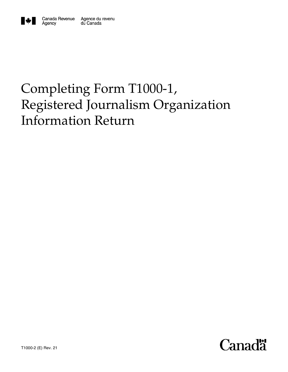

# Completing Form T1000-1, Registered Journalism Organization Information Return

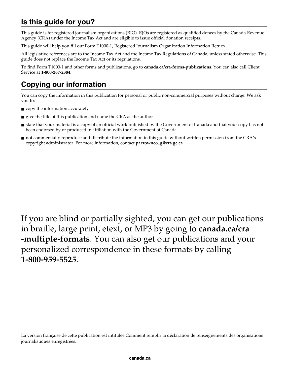# **Is this guide for you?**

This guide is for registered journalism organizations (RJO). RJOs are registered as qualified donees by the Canada Revenue Agency (CRA) under the Income Tax Act and are eligible to issue official donation receipts.

This guide will help you fill out Form T1000-1, Registered Journalism Organization Information Return.

All legislative references are to the Income Tax Act and the Income Tax Regulations of Canada, unless stated otherwise. This guide does not replace the Income Tax Act or its regulations.

To find Form T1000-1 and other forms and publications, go to **canada.ca/cra-forms-publications**. You can also call Client Service at **1-800-267-2384**.

# **Copying our information**

You can copy the information in this publication for personal or public non-commercial purposes without charge. We ask you to:

- copy the information accurately
- give the title of this publication and name the CRA as the author
- state that your material is a copy of an official work published by the Government of Canada and that your copy has not been endorsed by or produced in affiliation with the Government of Canada
- not commercially reproduce and distribute the information in this guide without written permission from the CRA's copyright administrator. For more information, contact **pacrownco\_g@cra.gc.ca**.

If you are blind or partially sighted, you can get our publications in braille, large print, etext, or MP3 by going to **canada.ca/cra -multiple-formats**. You can also get our publications and your personalized correspondence in these formats by calling **1-800-959-5525**.

La version française de cette publication est intitulée Comment remplir la déclaration de renseignements des organisations journalistiques enregistrées.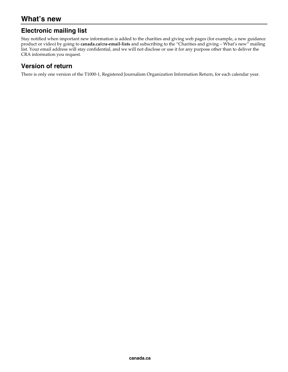### **Electronic mailing list**

Stay notified when important new information is added to the charities and giving web pages (for example, a new guidance product or video) by going to **canada.ca/cra-email-lists** and subscribing to the "Charities and giving – What's new" mailing list. Your email address will stay confidential, and we will not disclose or use it for any purpose other than to deliver the CRA information you request.

### **Version of return**

There is only one version of the T1000-1, Registered Journalism Organization Information Return, for each calendar year.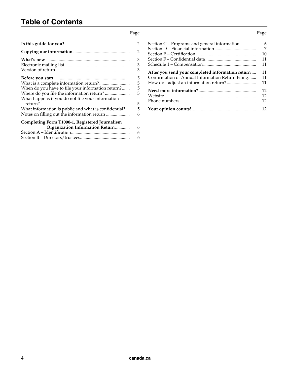# **Table of Contents**

#### **Page**

|                                                                                                                                                    | 2                |
|----------------------------------------------------------------------------------------------------------------------------------------------------|------------------|
|                                                                                                                                                    | 2                |
|                                                                                                                                                    | 3<br>3<br>3      |
| When do you have to file your information return?<br>Where do you file the information return?<br>What happens if you do not file your information | 5<br>5<br>5<br>5 |
|                                                                                                                                                    | 5                |
| What information is public and what is confidential?                                                                                               | 5                |
| Notes on filling out the information return                                                                                                        | 6                |
| Completing Form T1000-1, Registered Journalism                                                                                                     |                  |
| Organization Information Return                                                                                                                    | 6                |
|                                                                                                                                                    | 6                |
|                                                                                                                                                    | 6                |

| Section C – Programs and general information     | 6  |
|--------------------------------------------------|----|
|                                                  | 7  |
|                                                  | 10 |
|                                                  | 11 |
|                                                  | 11 |
| After you send your completed information return | 11 |
| Confirmation of Annual Information Return Filing | 11 |
|                                                  | 11 |
|                                                  | 12 |
|                                                  | 12 |
|                                                  | 12 |
|                                                  | 12 |

#### **Page**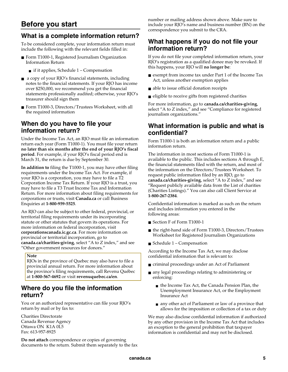# **Before you start**

### **What is a complete information return?**

To be considered complete, your information return must include the following with the relevant fields filled in:

- Form T1000-1, Registered Journalism Organization Information Return
	- $\blacksquare$  if it applies, Schedule 1 Compensation
- a copy of your RJO's financial statements, including notes to the financial statements. If your RJO has income over \$250,000, we recommend you get the financial statements professionally audited; otherwise, your RJO's treasurer should sign them
- Form T1000-3, Directors/Trustees Worksheet, with all the required information

### **When do you have to file your information return?**

Under the Income Tax Act, an RJO must file an information return each year (Form T1000-1). You must file your return **no later than six months after the end of your RJO's fiscal period**. For example, if your RJO's fiscal period end is March 31, the return is due by September 30.

**In addition to** filing the T1000-1, you may have other filing requirements under the Income Tax Act. For example, if your RJO is a corporation, you may have to file a T2 Corporation Income Tax Return. If your RJO is a trust, you may have to file a T3 Trust Income Tax and Information Return. For more information about filing requirements for corporations or trusts, visit **Canada.ca** or call Business Enquiries at **1-800-959-5525**.

An RJO can also be subject to other federal, provincial, or territorial filing requirements under its incorporating statute or other statutes that govern its operations. For more information on federal incorporation, visit **corporationscanada.ic.gc.ca**. For more information on provincial or territorial incorporation, go to **canada.ca/charities-giving**, select "A to Z index," and see "Other government resources for donors."

#### **Note**

RJOs in the province of Quebec may also have to file a provincial annual return. For more information about the province's filing requirements, call Revenu Québec at **1-800-567-4692** or visit **revenuquebec.ca/en**.

### **Where do you file the information return?**

You or an authorized representative can file your RJO's return by mail or by fax to:

Charities Directorate Canada Revenue Agency Ottawa ON K1A 0L5 Fax: 613-957-8925

**Do not attach** correspondence or copies of governing documents to the return. Submit them separately to the fax number or mailing address shown above. Make sure to include your RJO's name and business number (BN) on the correspondence you submit to the CRA.

### **What happens if you do not file your information return?**

If you do not file your completed information return, your RJO's registration as a qualified donee may be revoked. If this happens, your RJO will **no longer be**:

- exempt from income tax under Part 1 of the Income Tax Act, unless another exemption applies
- able to issue official donation receipts
- eligible to receive gifts from registered charities

For more information, go to **canada.ca/charities-giving**, select "A to Z index," and see "Compliance for registered journalism organizations."

### **What information is public and what is confidential?**

Form T1000-1 is both an information return and a public information return.

The information in most sections of Form T1000-1 is available to the public. This includes sections A through E, the financial statements filed with the return, and most of the information on the Directors/Trustees Worksheet. To request public information filed by an RJO, go to **canada.ca/charities-giving**, select "A to Z index," and see "Request publicly available data from the List of charities (Charities Listings)." You can also call Client Service at **1-800-267-2384**.

Confidential information is marked as such on the return and includes information you entered in the following areas:

- Section F of Form T1000-1
- the right-hand side of Form T1000-3, Directors/Trustees Worksheet for Registered Journalism Organizations
- Schedule  $1 -$ Compensation

According to the Income Tax Act, we may disclose confidential information that is relevant to:

- criminal proceedings under an Act of Parliament
- any legal proceedings relating to administering or enforcing:
	- the Income Tax Act, the Canada Pension Plan, the Unemployment Insurance Act, or the Employment Insurance Act
	- any other act of Parliament or law of a province that allows for the imposition or collection of a tax or duty

We may also disclose confidential information if authorized by any other provision in the Income Tax Act that includes an exception to the general prohibition that taxpayer information is confidential and may not be disclosed.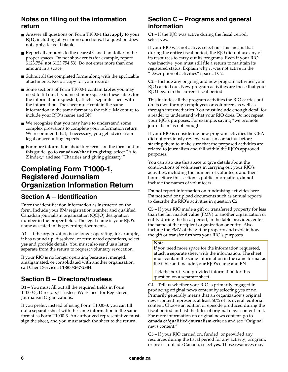### **Notes on filling out the information return**

- Answer all questions on Form T1000-1 **that apply to your RJO**, including all yes or no questions. If a question does not apply, leave it blank.
- Report all amounts to the nearest Canadian dollar in the proper spaces. Do not show cents (for example, report \$123,754, **not** \$123,754.53). Do not enter more than one amount in a space.
- Submit all the completed forms along with the applicable attachments. Keep a copy for your records.
- Some sections of Form T1000-1 contain **tables** you may need to fill out. If you need more space in these tables for the information requested, attach a separate sheet with the information. The sheet must contain the same information in the same format as the table. Make sure to include your RJO's name and BN.
- We recognize that you may have to understand some complex provisions to complete your information return. We recommend that, if necessary, you get advice from legal or accounting experts.
- For more information about key terms on the form and in this guide, go to **canada.ca/charities-giving**, select "A to Z index," and see "Charities and giving glossary."

# **Completing Form T1000-1, Registered Journalism Organization Information Return**

### **Section A – Identification**

Enter the identification information as instructed on the form. Include your BN/registration number and qualified Canadian journalism organization (QCJO) designation number in the proper fields. The legal name is your RJO's name as stated in its governing documents.

**A1** – If the organization is no longer operating, for example, it has wound up, dissolved, or terminated operations, select **yes** and provide details. You must also send us a letter separate from the return to request voluntary revocation.

If your RJO is no longer operating because it merged, amalgamated, or consolidated with another organization, call Client Service at **1-800-267-2384**.

### **Section B – Directors/trustees**

**B1** – You must fill out all the required fields in Form T1000-3, Directors/Trustees Worksheet for Registered Journalism Organizations.

If you prefer, instead of using Form T1000-3, you can fill out a separate sheet with the same information in the same format as Form T1000-3. An authorized representative must sign the sheet, and you must attach the sheet to the return.

### **Section C – Programs and general information**

**C1** – If the RJO was active during the fiscal period, select **yes**.

If your RJO was not active, select **no**. This means that during the **entire** fiscal period, the RJO did not use any of its resources to carry out its programs. Even if your RJO was inactive, you must still file a return to maintain its registered status. Explain why it was not active in the "Description of activities" space at C2.

**C2** – Include any ongoing and new program activities your RJO carried out. New program activities are those that your RJO began in the current fiscal period.

This includes all the program activities the RJO carries out on its own through employees or volunteers as well as through intermediaries. You must include enough detail for a reader to understand what your RJO does. Do not repeat your RJO's purposes. For example, saying "we promote journalism" is not enough.

If your RJO is considering new program activities the CRA did not previously review, you can contact us before starting them to make sure that the proposed activities are related to journalism and fall within the RJO's approved purposes.

You can also use this space to give details about the contributions of volunteers in carrying out your RJO's activities, including the number of volunteers and their hours. Since this section is public information, **do not** include the names of volunteers.

**Do not** report information on fundraising activities here. **Do not** send or upload documents such as annual reports to describe the RJO's activities in question C2.

**C3** – If your RJO made a gift or transferred property for less than the fair market value (FMV) to another organization or entity during the fiscal period, in the table provided, enter the name of the recipient organization or entity. Also include the FMV of the gift or property and explain how the gift or transfer furthers your RJO's purposes.

#### **Note**

If you need more space for the information requested, attach a separate sheet with the information. The sheet must contain the same information in the same format as the table and include your RJO's name and BN.

Tick the box if you provided information for this question on a separate sheet.

**C4** – Tell us whether your RJO is primarily engaged in producing original news content by selecting yes or no. Primarily generally means that an organization's original news content represents at least 50% of its overall editorial content. Choose an edition or episode produced during the fiscal period and list the titles of original news content in it. For more information on original news content, go to **canada.ca/qualified-journalism**-criteria and see "Original news content."

**C5** – If your RJO carried on, funded, or provided any resources during the fiscal period for any activity, program, or project outside Canada, select **yes**. Those resources may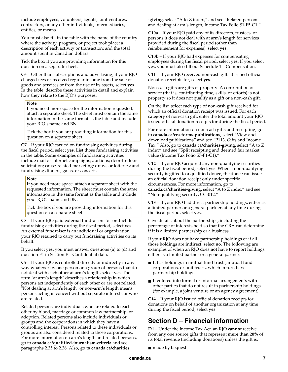include employees, volunteers, agents, joint ventures, contractors, or any other individuals, intermediaries, entities, or means.

You must also fill in the table with the name of the country where the activity, program, or project took place; a description of each activity or transaction; and the total amount spent in Canadian dollars.

Tick the box if you are providing information for this question on a separate sheet.

**C6** – Other than subscriptions and advertising, if your RJO charged fees or received regular income from the sale of goods and services or from the use of its assets, select **yes**. In the table, describe these activities in detail and explain how they relate to the RJO's purposes.

#### **Note**

If you need more space for the information requested, attach a separate sheet. The sheet must contain the same information in the same format as the table and include your RJO's name and BN.

Tick the box if you are providing information for this question on a separate sheet.

**C7** – If your RJO carried on fundraising activities during the fiscal period, select **yes**. List those fundraising activities in the table. Some examples of fundraising activities include mail or internet campaigns; auctions; door-to-door solicitation; cause-related marketing; draws or lotteries; and fundraising dinners, galas, or concerts.

#### **Note**

If you need more space, attach a separate sheet with the requested information. The sheet must contain the same information in the same format as the table and include your RJO's name and BN.

Tick the box if you are providing information for this question on a separate sheet.

**C8** – If your RJO paid external fundraisers to conduct its fundraising activities during the fiscal period, select **yes**. An external fundraiser is an individual or organization your RJO retained to carry out fundraising activities on its behalf.

If you select **yes**, you must answer questions (a) to (d) and question F1 in Section F – Confidential data.

**C9** – If your RJO is controlled directly or indirectly in any way whatever by one person or a group of persons that do not deal with each other at arm's length, select **yes**. The term "at arm's length" describes a relationship in which persons act independently of each other or are not related. "Not dealing at arm's length" or non-arm's length means persons acting in concert without separate interests or who are related.

Related persons are individuals who are related to each other by blood, marriage or common law partnership, or adoption. Related persons also include individuals or groups and the corporations in which they have a controlling interest. Persons related to these individuals or groups are also considered related to those corporations. For more information on arm's length and related persons, go to **canada.ca/qualified-journalism-criteria** and see paragraphs 2.35 to 2.38. Also, go **to canada.ca/charities** 

**-giving**, select "A to Z index," and see "Related persons and dealing at arm's length, Income Tax Folio S1-F5-C1."

**C10a** – If your RJO paid any of its directors, trustees, or persons it does not deal with at arm's length for services provided during the fiscal period (other than reimbursement for expenses), select **yes**.

**C10b** – If your RJO had expenses for compensating employees during the fiscal period, select **yes**. If you select **yes**, you must also fill out Schedule 1 – Compensation.

**C11** – If your RJO received non-cash gifts it issued official donation receipts for, select **yes**.

Non-cash gifts are gifts of property. A contribution of service (that is, contributing time, skills, or efforts) is not property so it does not qualify as a gift or a non-cash gift.

On the list, select each type of non-cash gift received for which an official donation receipt was issued. For each category of non-cash gift, enter the total amount your RJO issued official donation receipts for during the fiscal period.

For more information on non-cash gifts and receipting, go to **canada.ca/cra-forms-publications**, select "View and download publications" and see "P113, Gifts and Income Tax." Also, go to **canada.ca/charities-giving**, select "A to Z index" and see "Split receipting and deemed fair market value (Income Tax Folio S7-F1-C1)."

**C12** – If your RJO acquired any non-qualifying securities during the fiscal period, select **yes**. When a non-qualifying security is gifted to a qualified donee, the donee can issue an official donation receipt only under specific circumstances. For more information, go to **canada.ca/charities-giving**, select "A to Z index" and see "Non-qualifying security, CG-012."

**C13** – If your RJO had direct partnership holdings, either as a limited partner or a general partner, at any time during the fiscal period, select **yes**.

Give details about the partnerships, including the percentage of interests held so that the CRA can determine if it is a limited partnership or a business.

If your RJO does not have partnership holdings or if all those holdings are **indirect**, select **no**. The following are examples of when an RJO does **not** have to report holdings either as a limited partner or a general partner:

- It has holdings in mutual fund trusts, mutual fund corporations, or unit trusts, which in turn have partnership holdings.
- It entered into formal or informal arrangements with other parties that do not result in partnership holdings (for example, a joint venture or an agency agreement).

**C14** – If your RJO issued official donation receipts for donations on behalf of another organization at any time during the fiscal period, select **yes**.

### **Section D – Financial information**

**D1** – Under the Income Tax Act, an RJO **cannot** receive from any one source gifts that represent **more than 20%** of its total revenue (including donations) unless the gift is:

■ made by bequest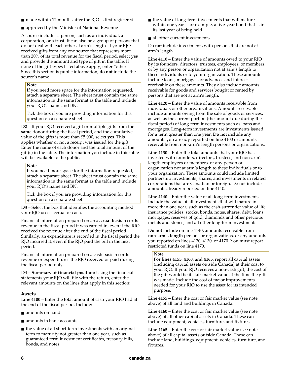- made within 12 months after the RJO is first registered
- approved by the Minister of National Revenue

A source includes a person, such as an individual, a corporation, or a trust. It can also be a group of persons that do not deal with each other at arm's length. If your RJO received gifts from any one source that represents more than 20% of its total revenue for the fiscal period, select **yes** and provide the amount and type of gift in the table. If none of the gift types listed above apply, enter "other." Since this section is public information, **do not** include the source's name.

#### **Note**

If you need more space for the information requested, attach a separate sheet. The sheet must contain the same information in the same format as the table and include your RJO's name and BN.

Tick the box if you are providing information for this question on a separate sheet.

**D2** – If your RJO received a gift or multiple gifts from the **same** donor during the fiscal period, and the cumulative value of the gifts is more than \$5,000, select **yes**. This applies whether or not a receipt was issued for the gift. Enter the name of each donor and the total amount of the gift(s) in the table. The information you include in this table will be available to the public.

#### **Note**

If you need more space for the information requested, attach a separate sheet. The sheet must contain the same information in the same format as the table and include your RJO's name and BN.

Tick the box if you are providing information for this question on a separate sheet.

**D3** – Select the box that identifies the accounting method your RJO uses: accrual or cash.

Financial information prepared on an **accrual basis** records revenue in the fiscal period it was earned in, even if the RJO received the revenue after the end of the fiscal period. Similarly, an expenditure is recorded in the fiscal period the RJO incurred it, even if the RJO paid the bill in the next period.

Financial information prepared on a cash basis records revenue or expenditures the RJO received or paid during the fiscal period only.

**D4 – Summary of financial position:** Using the financial statements your RJO will file with the return, enter the relevant amounts on the lines that apply in this section:

#### **Assets**

**Line 4100** – Enter the total amount of cash your RJO had at the end of the fiscal period. Include:

- amounts on hand
- amounts in bank accounts
- the value of all short-term investments with an original term to maturity not greater than one year, such as guaranteed term investment certificates, treasury bills, bonds, and notes
- the value of long-term investments that will mature within one year—for example, a five-year bond that is in its last year of being held
- all other current investments

Do **not** include investments with persons that are not at arm's length.

**Line 4110** – Enter the value of amounts owed to your RJO by its founders, directors, trustees, employees, or members, or by any person or organization not at arm's length to these individuals or to your organization. These amounts include loans, mortgages, or advances and interest receivable on these amounts. They also include amounts receivable for goods and services bought or rented by persons that are not at arm's length.

**Line 4120** – Enter the value of amounts receivable from individuals or other organizations. Amounts receivable include amounts owing from the sale of goods or services, as well as the current portion (the amount due during the fiscal period) of long-term investments such as loans and mortgages. Long-term investments are investments issued for a term greater than one year. **Do not** include any amounts you already reported on line 4100 or amounts receivable from non-arm's length persons or organizations.

**Line 4130** – Enter the total amounts that your RJO has invested with founders, directors, trustees, and non-arm's length employees or members, or any person or organization not at arm's length to these individuals or to your organization. These amounts could include limited partnership investments, shares, and investments in related corporations that are Canadian or foreign. Do not include amounts already reported on line 4110.

**Line 4140** – Enter the value of all long-term investments. Include the value of all investments that will mature in more than one year, such as the cash-surrender value of life insurance policies, stocks, bonds, notes, shares, debt, loans, mortgages, reserves of gold, diamonds and other precious metals and stones, and all other long-term investments.

**Do not** include on line 4140, amounts receivable from **non-arm's length** persons or organizations, or any amounts you reported on lines 4120, 4130, or 4170. You must report restricted funds on line 4170.

#### **Note**

**For lines 4155, 4160, and 4165**, report all capital assets (including capital assets outside Canada) at their cost to your RJO. If your RJO receives a non-cash gift, the cost of the gift would be its fair market value at the time the gift was made. Include the cost of major improvements needed for your RJO to use the asset for its intended purpose.

**Line 4155** – Enter the cost or fair market value (see note above) of all land and buildings in Canada.

**Line 4160** – Enter the cost or fair market value (see note above) of all other capital assets in Canada. These can include equipment, vehicles, furniture, and fixtures.

**Line 4165** – Enter the cost or fair market value (see note above) of all capital assets outside Canada. These can include land, buildings, equipment, vehicles, furniture, and fixtures.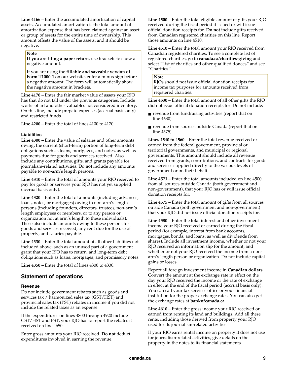**Line 4166** – Enter the accumulated amortization of capital assets. Accumulated amortization is the total amount of amortization expense that has been claimed against an asset or group of assets for the entire time of ownership. This amount offsets the value of the assets, and it should be negative.

#### **Note**

**If you are filing a paper return**, use brackets to show a negative amount.

If you are using the **fillable and saveable version of Form T1000-1** on our website, enter a minus sign before a negative amount. The form will automatically show the negative amount in brackets.

**Line 4170** – Enter the fair market value of assets your RJO has that do not fall under the previous categories. Include works of art and other valuables not considered inventory. On this line, include prepaid expenses (accrual basis only) and restricted funds.

**Line 4200** – Enter the total of lines 4100 to 4170.

#### **Liabilities**

**Line 4300** – Enter the value of salaries and other amounts owing; the current (short-term) portion of long-term debt obligations such as loans, mortgages, and notes, as well as payments due for goods and services received. Also include any contributions, gifts, and grants payable for journalism-related activities. Do **not** include any amounts payable to non-arm's length persons.

**Line 4310** – Enter the total of amounts your RJO received to pay for goods or services your RJO has not yet supplied (accrual basis only).

**Line 4320** – Enter the total of amounts (including advances, loans, notes, or mortgages) owing to non-arm's length persons (including founders, directors, trustees, non-arm's length employees or members, or to any person or organization not at arm's length to these individuals). These also include amounts owing to these persons for goods and services received, any rent due for the use of property, and salaries payable.

**Line 4330** – Enter the total amount of all other liabilities not included above, such as an unused part of a government grant that your RJO has to return, and long-term debt obligations such as loans, mortgages, and promissory notes.

**Line 4350** – Enter the total of lines 4300 to 4330.

#### **Statement of operations**

#### **Revenue**

Do not include government rebates such as goods and services tax / harmonized sales tax (GST/HST) and provincial sales tax (PST) rebates in income if you did not include the related taxes as an expense.

If the expenditures on lines 4800 through 4920 include GST/HST and PST, your RJO has to report the rebates it received on line 4650.

Enter gross amounts your RJO received. **Do not** deduct expenditures involved in earning the revenue.

**Line 4500** – Enter the total eligible amount of gifts your RJO received during the fiscal period it issued or will issue official donation receipts for. **Do not** include gifts received from Canadian registered charities on this line. Report those amounts on line 4510.

**Line 4510** – Enter the total amount your RJO received from Canadian registered charities. To see a complete list of registered charities, go to **canada.ca/charities-giving** and select "List of charities and other qualified donees" and see "Charities."

#### **Note**

RJOs should not issue official donation receipts for income tax purposes for amounts received from registered charities.

**Line 4530** – Enter the total amount of all other gifts the RJO did not issue official donation receipts for. Do not include:

- revenue from fundraising activities (report that on line 4630)
- revenue from sources outside Canada (report that on line 4575)

**Lines 4540 to 4560** – Enter the total revenue received or earned from the federal government, provincial or territorial governments, and municipal or regional governments. This amount should include all revenue received from grants, contributions, and contracts for goods and services supplied directly to the various levels of government or on their behalf.

**Line 4571** – Enter the total amounts included on line 4500 from all sources outside Canada (both government and non-government), that your RJO has or will issue official donation receipts for.

**Line 4575** – Enter the total amount of gifts from all sources outside Canada (both government and non-government) that your RJO did not issue official donation receipts for.

**Line 4580** – Enter the total interest and other investment income your RJO received or earned during the fiscal period (for example, interest from bank accounts, mortgages, bonds, and loans, as well as dividends from shares). Include all investment income, whether or not your RJO received an information slip for the amount, and whether or not your RJO received the income from a nonarm's length person or organization. Do not include capital gains or losses.

Report all foreign investment income in **Canadian dollars**. Convert the amount at the exchange rate in effect on the day your RJO received the income or the rate of exchange in effect at the end of the fiscal period (accrual basis only). You can call your tax services office or your financial institution for the proper exchange rates. You can also get the exchange rates at **bankofcanada.ca**.

**Line 4610** – Enter the gross income your RJO received or earned from renting its land and buildings. Add all these rents, including those derived from property your RJO used for its journalism-related activities.

If your RJO earns rental income on property it does not use for journalism-related activities, give details on the property in the notes to its financial statements.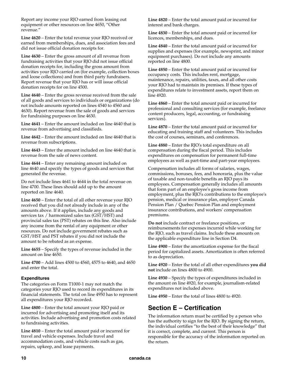Report any income your RJO earned from leasing out equipment or other resources on line 4650, "Other revenue."

**Line 4620** – Enter the total revenue your RJO received or earned from memberships, dues, and association fees and did not issue official donation receipts for.

**Line 4630** – Enter the gross amount of all revenue from fundraising activities that your RJO did not issue official donation receipts for, including the gross amount from activities your RJO carried on (for example, collection boxes and loose collections) and from third party fundraisers. Report revenue that your RJO has or will issue official donation receipts for on line 4500.

**Line 4640** – Enter the gross revenue received from the sale of all goods and services to individuals or organizations (do not include amounts reported on lines 4540 to 4560 and 4630). Report revenue from the sale of goods and services for fundraising purposes on line 4630.

**Line 4641** – Enter the amount included on line 4640 that is revenue from advertising and classifieds.

**Line 4642** – Enter the amount included on line 4640 that is revenue from subscriptions.

**Line 4643** – Enter the amount included on line 4640 that is revenue from the sale of news content.

**Line 4644** – Enter any remaining amount included on line 4640 and specify the types of goods and services that generated the revenue.

Do not include lines 4641 to 4644 in the total revenue on line 4700. These lines should add up to the amount reported on line 4640.

**Line 4650** – Enter the total of all other revenue your RJO received that you did not already include in any of the amounts above. If it applies, include any goods and services tax / harmonized sales tax (GST/HST) and provincial sales tax (PST) rebates on this line. Also include any income from the rental of any equipment or other resources. Do not include government rebates such as GST/HST and PST rebates if you did not include the amount to be rebated as an expense.

**Line 4655** – Specify the types of revenue included in the amount on line 4650.

**Line 4700** – Add lines 4500 to 4560, 4575 to 4640, and 4650 and enter the total.

#### **Expenditures**

The categories on Form T1000-1 may not match the categories your RJO used to record its expenditures in its financial statements. The total on line 4950 has to represent all expenditures your RJO recorded.

**Line 4800** – Enter the total amount your RJO paid or incurred for advertising and promoting itself and its activities. Include advertising and promotion costs related to fundraising activities.

**Line 4810** – Enter the total amount paid or incurred for travel and vehicle expenses. Include travel and accommodation costs, and vehicle costs such as gas, repairs, upkeep, and lease payments.

**Line 4820** – Enter the total amount paid or incurred for interest and bank charges.

**Line 4830** – Enter the total amount paid or incurred for licences, memberships, and dues.

**Line 4840** – Enter the total amount paid or incurred for supplies and expenses (for example, newsprint, and minor equipment purchases). Do not include any amounts reported on line 4800.

**Line 4850** – Enter the total amount paid or incurred for occupancy costs. This includes rent, mortgage, maintenance, repairs, utilities, taxes, and all other costs your RJO had to maintain its premises. If these types of expenditures relate to investment assets, report them on line 4920.

**Line 4860** – Enter the total amount paid or incurred for professional and consulting services (for example, freelance content producers, legal, accounting, or fundraising services).

**Line 4870** – Enter the total amount paid or incurred for educating and training staff and volunteers. This includes the cost of courses, seminars, and conferences.

**Line 4880** – Enter the RJO's total expenditure on all compensation during the fiscal period. This includes expenditures on compensation for permanent full-time employees as well as part-time and part-year employees.

Compensation includes all forms of salaries, wages, commissions, bonuses, fees, and honoraria, plus the value of taxable and non-taxable benefits an RJO pays its employees. Compensation generally includes all amounts that form part of an employee's gross income from employment, plus the RJO's contributions to the employee's pension, medical or insurance plan, employer Canada Pension Plan / Quebec Pension Plan and employment insurance contributions, and workers' compensation premiums.

**Do not** include contract or freelance positions, or reimbursements for expenses incurred while working for the RJO, such as travel claims. Include these amounts on the applicable expenditure line in Section D4.

**Line 4900** – Enter the amortization expense for the fiscal period for capitalized assets. Amortization is often referred to as depreciation.

**Line 4920** – Enter the total of all other expenditures **you did not** include on lines 4800 to 4900.

**Line 4930** – Specify the types of expenditures included in the amount on line 4920, for example, journalism-related expenditures not included above.

**Line 4950** – Enter the total of lines 4800 to 4920.

### **Section E – Certification**

The information return must be certified by a person who has the authority to sign for the RJO. By signing the return, the individual certifies "to the best of their knowledge" that it is correct, complete, and current. This person is responsible for the accuracy of the information reported on the return.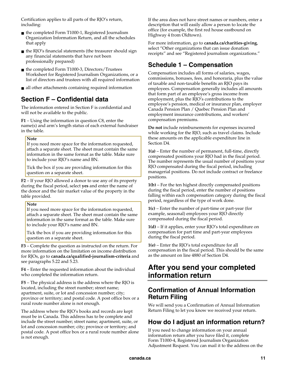Certification applies to all parts of the RJO's return, including:

- the completed Form T1000-1, Registered Journalism Organization Information Return, and all the schedules that apply
- the RJO's financial statements (the treasurer should sign any financial statements that have not been professionally prepared)
- the completed Form T1000-3, Directors/Trustees Worksheet for Registered Journalism Organizations, or a list of directors and trustees with all required information
- all other attachments containing required information

### **Section F – Confidential data**

The information entered in Section F is confidential and will not be available to the public.

**F1** – Using the information in question C8, enter the name(s) and arm's length status of each external fundraiser in the table.

#### **Note**

If you need more space for the information requested, attach a separate sheet. The sheet must contain the same information in the same format as the table. Make sure to include your RJO's name and BN.

Tick the box if you are providing information for this question on a separate sheet.

**F2** – If your RJO allowed a donor to use any of its property during the fiscal period, select **yes** and enter the name of the donor and the fair market value of the property in the table provided.

#### **Note**

If you need more space for the information requested, attach a separate sheet. The sheet must contain the same information in the same format as the table. Make sure to include your RJO's name and BN.

Tick the box if you are providing information for this question on a separate sheet.

**F3** – Complete the question as instructed on the return. For more information on the limitation on income distribution for RJOs, go to **canada.ca/qualified-journalism-criteria** and see paragraphs 5.22 and 5.23.

**F4** – Enter the requested information about the individual who completed the information return.

**F5** – The physical address is the address where the RJO is located, including the street number; street name; apartment, suite, or lot and concession number; city; province or territory; and postal code. A post office box or a rural route number alone is not enough.

The address where the RJO's books and records are kept must be in Canada. This address has to be complete and include the street number; street name; apartment, suite, or lot and concession number; city; province or territory; and postal code. A post office box or a rural route number alone is not enough.

If the area does not have street names or numbers, enter a description that will easily allow a person to locate the office (for example, the first red house eastbound on Highway 4 from Oldtown).

For more information, go to **canada.ca/charities-giving**, select "Other organizations that can issue donation receipts" and see "Registered journalism organizations."

### **Schedule 1 – Compensation**

Compensation includes all forms of salaries, wages, commissions, bonuses, fees, and honoraria, plus the value of taxable and non-taxable benefits an RJO pays its employees. Compensation generally includes all amounts that form part of an employee's gross income from employment, plus the RJO's contributions to the employee's pension, medical or insurance plan, employer Canada Pension Plan / Quebec Pension Plan and employment insurance contributions, and workers' compensation premiums.

**Do not** include reimbursements for expenses incurred while working for the RJO, such as travel claims. Include these amounts on the applicable expenditure line in Section D4.

**1(a)** – Enter the number of permanent, full-time, directly compensated positions your RJO had in the fiscal period. The number represents the usual number of positions your RJO compensated during the fiscal period, including managerial positions. Do not include contract or freelance positions.

**1(b)** – For the ten highest directly compensated positions during the fiscal period, enter the number of positions falling within each compensation category during the fiscal period, regardless of the type of work done.

**1(c)** – Enter the number of part-time or part-year (for example, seasonal) employees your RJO directly compensated during the fiscal period.

**1(d)** – If it applies, enter your RJO's total expenditure on compensation for part time and part-year employees during the fiscal period.

**1(e)** – Enter the RJO's total expenditure for all compensation in the fiscal period. This should be the same as the amount on line 4880 of Section D4.

# **After you send your completed information return**

### **Confirmation of Annual Information Return Filing**

We will send you a Confirmation of Annual Information Return Filing to let you know we received your return.

### **How do I adjust an information return?**

If you need to change information on your annual information return after you have filed it, complete Form T1000-4, Registered Journalism Organization Adjustment Request. You can mail it to the address on the